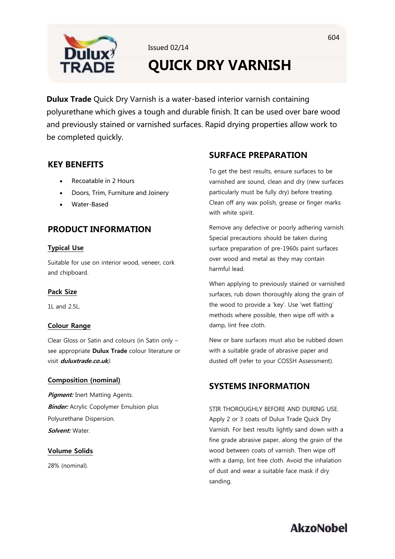

Issued 02/14

# **QUICK DRY VARNISH**

**Dulux Trade** Quick Dry Varnish is a water-based interior varnish containing polyurethane which gives a tough and durable finish. It can be used over bare wood and previously stained or varnished surfaces. Rapid drying properties allow work to be completed quickly.

## **KEY BENEFITS**

- Recoatable in 2 Hours
- Doors, Trim, Furniture and Joinery
- Water-Based

## **PRODUCT INFORMATION**

### **Typical Use**

Suitable for use on interior wood, veneer, cork and chipboard.

### **Pack Size**

1L and  $2.5$ 

### **Colour Range**

Clear Gloss or Satin and colours (in Satin only – see appropriate **Dulux Trade** colour literature or visit **duluxtrade.co.uk**).

### **Composition (nominal)**

**Pigment:** Inert Matting Agents. **Binder:** Acrylic Copolymer Emulsion plus Polyurethane Dispersion. **Solvent:** Water.

## **Volume Solids**

28% (nominal).

## **SURFACE PREPARATION**

To get the best results, ensure surfaces to be varnished are sound, clean and dry (new surfaces particularly must be fully dry) before treating. Clean off any wax polish, grease or finger marks with white spirit.

Remove any defective or poorly adhering varnish. Special precautions should be taken during surface preparation of pre-1960s paint surfaces over wood and metal as they may contain harmful lead.

When applying to previously stained or varnished surfaces, rub down thoroughly along the grain of the wood to provide a 'key'. Use 'wet flatting' methods where possible, then wipe off with a damp, lint free cloth.

New or bare surfaces must also be rubbed down with a suitable grade of abrasive paper and dusted off (refer to your COSSH Assessment).

## **SYSTEMS INFORMATION**

STIR THOROUGHLY BEFORE AND DURING USE. Apply 2 or 3 coats of Dulux Trade Quick Dry Varnish. For best results lightly sand down with a fine grade abrasive paper, along the grain of the wood between coats of varnish. Then wipe off with a damp, lint free cloth. Avoid the inhalation of dust and wear a suitable face mask if dry sanding.

# **AkzoNobel**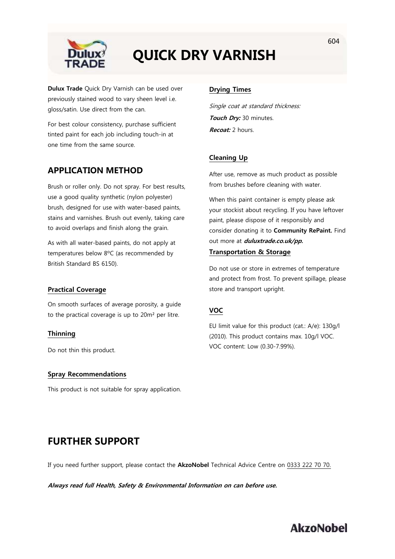

# **QUICK DRY VARNISH**

**Dulux Trade** Quick Dry Varnish can be used over previously stained wood to vary sheen level i.e. gloss/satin. Use direct from the can.

For best colour consistency, purchase sufficient tinted paint for each job including touch-in at one time from the same source.

## **APPLICATION METHOD**

Brush or roller only. Do not spray. For best results, use a good quality synthetic (nylon polyester) brush, designed for use with water-based paints, stains and varnishes. Brush out evenly, taking care to avoid overlaps and finish along the grain.

As with all water-based paints, do not apply at temperatures below 8ºC (as recommended by British Standard BS 6150).

### **Practical Coverage**

On smooth surfaces of average porosity, a guide to the practical coverage is up to 20m² per litre.

### **Thinning**

Do not thin this product.

#### **Spray Recommendations**

This product is not suitable for spray application.

### **Drying Times**

Single coat at standard thickness: **Touch Dry:** 30 minutes. **Recoat:** 2 hours.

## **Cleaning Up**

After use, remove as much product as possible from brushes before cleaning with water.

When this paint container is empty please ask your stockist about recycling. If you have leftover paint, please dispose of it responsibly and consider donating it to **Community RePaint.** Find out more at **duluxtrade.co.uk/pp.**

## **Transportation & Storage**

Do not use or store in extremes of temperature and protect from frost. To prevent spillage, please store and transport upright.

## **VOC**

EU limit value for this product (cat.: A/e): 130g/l (2010). This product contains max. 10g/l VOC. VOC content: Low (0.30-7.99%).

## **FURTHER SUPPORT**

If you need further support, please contact the **AkzoNobel** Technical Advice Centre on 0333 222 70 70.

**Always read full Health, Safety & Environmental Information on can before use.**

604

## **AkzoNobel**